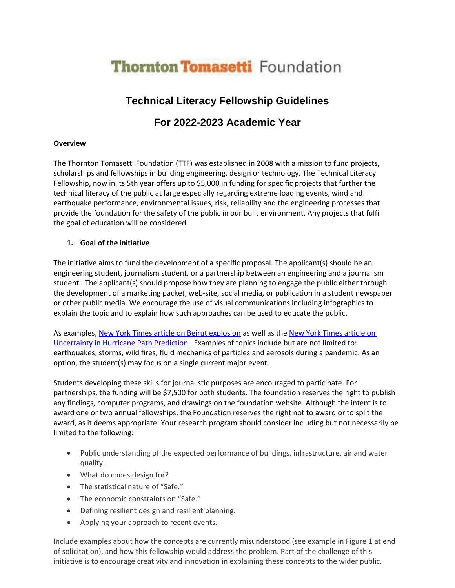# **Thornton Tomasetti Foundation**

# **Technical Literacy Fellowship Guidelines**

# **For 2022-2023 Academic Year**

## **Overview**

The Thornton Tomasetti Foundation (TTF) was established in 2008 with a mission to fund projects, scholarships and fellowships in building engineering, design or technology. The Technical Literacy Fellowship, now in its 5th year offers up to \$5,000 in funding for specific projects that further the technical literacy of the public at large especially regarding extreme loading events, wind and earthquake performance, environmental issues, risk, reliability and the engineering processes that provide the foundation for the safety of the public in our built environment. Any projects that fulfill the goal of education will be considered.

#### **1. Goal of the initiative**

The initiative aims to fund the development of a specific proposal. The applicant(s) should be an engineering student, journalism student, or a partnership between an engineering and a journalism student. The applicant(s) should propose how they are planning to engage the public either through the development of a marketing packet, web-site, social media, or publication in a student newspaper or other public media. We encourage the use of visual communications including infographics to explain the topic and to explain how such approaches can be used to educate the public.

As examples, [New York Times article on Beirut explosion](https://www.nytimes.com/interactive/2020/09/09/world/middleeast/beirut-explosion.html?searchResultPosition=1) as well as the [New York Times article on](https://www.nytimes.com/interactive/2019/08/29/opinion/hurricane-dorian-forecast-map.html)  [Uncertainty in Hurricane Path Prediction.](https://www.nytimes.com/interactive/2019/08/29/opinion/hurricane-dorian-forecast-map.html) Examples of topics include but are not limited to: earthquakes, storms, wild fires, fluid mechanics of particles and aerosols during a pandemic. As an option, the student(s) may focus on a single current major event.

Students developing these skills for journalistic purposes are encouraged to participate. For partnerships, the funding will be \$7,500 for both students. The foundation reserves the right to publish any findings, computer programs, and drawings on the foundation website. Although the intent is to award one or two annual fellowships, the Foundation reserves the right not to award or to split the award, as it deems appropriate. Your research program should consider including but not necessarily be limited to the following:

- Public understanding of the expected performance of buildings, infrastructure, air and water quality.
- What do codes design for?
- The statistical nature of "Safe."
- The economic constraints on "Safe."
- Defining resilient design and resilient planning.
- Applying your approach to recent events.

Include examples about how the concepts are currently misunderstood (see example in Figure 1 at end of solicitation), and how this fellowship would address the problem. Part of the challenge of this initiative is to encourage creativity and innovation in explaining these concepts to the wider public.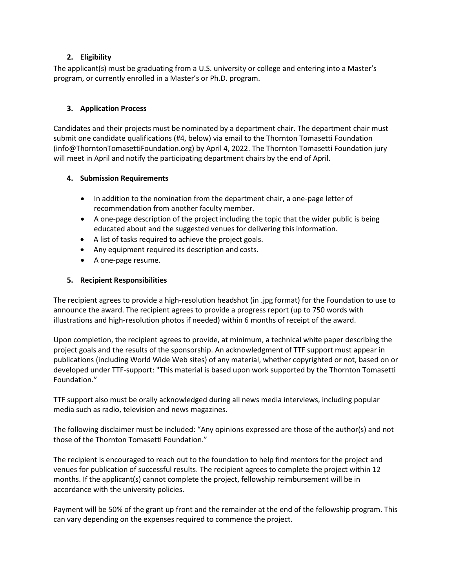## **2. Eligibility**

The applicant(s) must be graduating from a U.S. university or college and entering into a Master's program, or currently enrolled in a Master's or Ph.D. program.

## **3. Application Process**

Candidates and their projects must be nominated by a department chair. The department chair must submit one candidate qualifications (#4, below) via email to the Thornton Tomasetti Foundation (info@ThorntonTomasettiFoundation.org) by April 4, 2022. The Thornton Tomasetti Foundation jury will meet in April and notify the participating department chairs by the end of April.

#### **4. Submission Requirements**

- In addition to the nomination from the department chair, a one-page letter of recommendation from another faculty member.
- A one-page description of the project including the topic that the wider public is being educated about and the suggested venues for delivering this information.
- A list of tasks required to achieve the project goals.
- Any equipment required its description and costs.
- A one-page resume.

#### **5. Recipient Responsibilities**

The recipient agrees to provide a high-resolution headshot (in .jpg format) for the Foundation to use to announce the award. The recipient agrees to provide a progress report (up to 750 words with illustrations and high-resolution photos if needed) within 6 months of receipt of the award.

Upon completion, the recipient agrees to provide, at minimum, a technical white paper describing the project goals and the results of the sponsorship. An acknowledgment of TTF support must appear in publications (including World Wide Web sites) of any material, whether copyrighted or not, based on or developed under TTF-support: "This material is based upon work supported by the Thornton Tomasetti Foundation."

TTF support also must be orally acknowledged during all news media interviews, including popular media such as radio, television and news magazines.

The following disclaimer must be included: "Any opinions expressed are those of the author(s) and not those of the Thornton Tomasetti Foundation."

The recipient is encouraged to reach out to the foundation to help find mentors for the project and venues for publication of successful results. The recipient agrees to complete the project within 12 months. If the applicant(s) cannot complete the project, fellowship reimbursement will be in accordance with the university policies.

Payment will be 50% of the grant up front and the remainder at the end of the fellowship program. This can vary depending on the expenses required to commence the project.